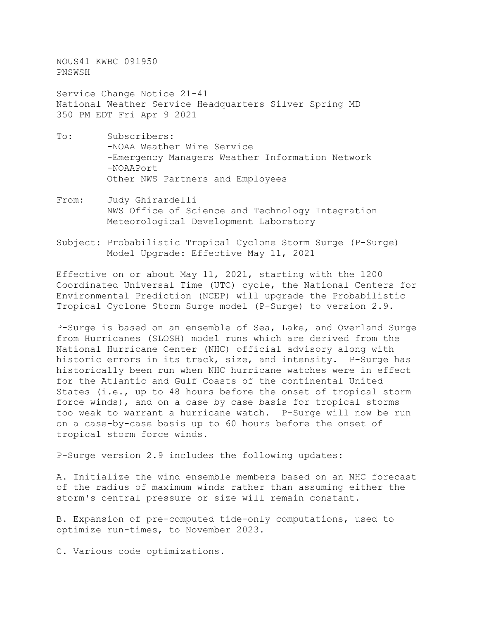NOUS41 KWBC 091950 PNSWSH

Service Change Notice 21-41 National Weather Service Headquarters Silver Spring MD 350 PM EDT Fri Apr 9 2021

- To: Subscribers: -NOAA Weather Wire Service -Emergency Managers Weather Information Network -NOAAPort Other NWS Partners and Employees
- From: Judy Ghirardelli NWS Office of Science and Technology Integration Meteorological Development Laboratory
- Subject: Probabilistic Tropical Cyclone Storm Surge (P-Surge) Model Upgrade: Effective May 11, 2021

Effective on or about May 11, 2021, starting with the 1200 Coordinated Universal Time (UTC) cycle, the National Centers for Environmental Prediction (NCEP) will upgrade the Probabilistic Tropical Cyclone Storm Surge model (P-Surge) to version 2.9.

P-Surge is based on an ensemble of Sea, Lake, and Overland Surge from Hurricanes (SLOSH) model runs which are derived from the National Hurricane Center (NHC) official advisory along with historic errors in its track, size, and intensity. P-Surge has historically been run when NHC hurricane watches were in effect for the Atlantic and Gulf Coasts of the continental United States (i.e., up to 48 hours before the onset of tropical storm force winds), and on a case by case basis for tropical storms too weak to warrant a hurricane watch. P-Surge will now be run on a case-by-case basis up to 60 hours before the onset of tropical storm force winds.

P-Surge version 2.9 includes the following updates:

A. Initialize the wind ensemble members based on an NHC forecast of the radius of maximum winds rather than assuming either the storm's central pressure or size will remain constant.

B. Expansion of pre-computed tide-only computations, used to optimize run-times, to November 2023.

C. Various code optimizations.